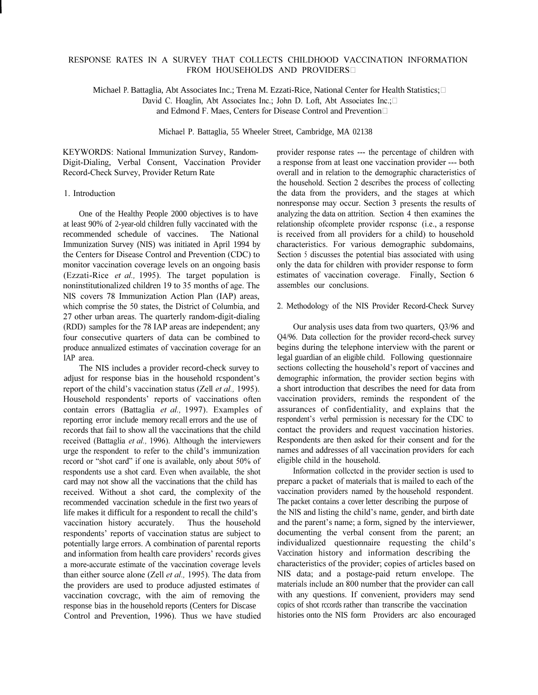# RESPONSE RATES IN A SURVEY THAT COLLECTS CHILDHOOD VACCINATION INFORMATION FROM HOUSEHOLDS AND PROVIDERS

Michael P. Battaglia, Abt Associates Inc.; Trena M. Ezzati-Rice, National Center for Health Statistics; David C. Hoaglin, Abt Associates Inc.; John D. Loft, Abt Associates Inc.; and Edmond F. Maes, Centers for Disease Control and Prevention

Michael P. Battaglia, 55 Wheeler Street, Cambridge, MA 02138

KEYWORDS: National Immunization Survey, Random-Digit-Dialing, Verbal Consent, Vaccination Provider Record-Check Survey, Provider Return Rate

# 1. Introduction

One of the Healthy People 2000 objectives is to have at least 90% of 2-year-old children fully vaccinated with the recommended schedule of vaccines. The National Immunization Survey (NIS) was initiated in April 1994 by the Centers for Disease Control and Prevention (CDC) to monitor vaccination coverage levels on an ongoing basis (Ezzati-Rice *et al.,* 1995). The target population is noninstitutionalized children 19 to 35 months of age. The NIS covers 78 Immunization Action Plan (IAP) areas, which comprise the 50 states, the District of Columbia, and 27 other urban areas. The quarterly random-digit-dialing (RDD) samples for the 78 IAP areas are independent; any four consecutive quarters of data can be combined to produce annualized estimates of vaccination coverage for an IAP area.

The NIS includes a provider record-check survey to adjust for response bias in the household rcspondent's report of the child's vaccination status (Zell *et al.*, 1995). Household respondents' reports of vaccinations often contain errors (Battaglia *et al.,* 1997). Examples of reporting error include memory recall errors and the use of records that fail to show all the vaccinations that the child received (Battaglia *et al.,* 1996). Although the interviewers urge the respondent to refer to the child's immunization record or "shot card" if one is available, only about 50% of respondents use a shot card. Even when available, the shot card may not show all the vaccinations that the child has received. Without a shot card, the complexity of the recommended vaccination schedule in the first two years of life makes it difficult for a respondent to recall the child's vaccination history accurately. Thus the household respondents' reports of vaccination status are subject to potentially large errors. A combination of parental reports and information from health care providers' records gives a more-accurate estimate of the vaccination coverage levels than either source alone (Zell *et al.,* 1995). The data from the providers are used to produce adjusted estimates of vaccination covcragc, with the aim of removing the response bias in the household reports (Centers for Discase Control and Prevention, 1996). Thus we have studied

provider response rates --- the percentage of children with a response from at least one vaccination provider --- both overall and in relation to the demographic characteristics of the household. Section 2 describes the process of collecting the data from the providers, and the stages at which nonresponse may occur. Section 3 presents the results of analyzing the data on attrition. Section 4 then examines the relationship ofcomplete provider rcsponsc (i.e., a response is received from all providers for a child) to household characteristics. For various demographic subdomains, Section 5 discusses the potential bias associated with using only the data for children with provider response to form estimates of vaccination coverage. Finally, Section 6 assembles our conclusions.

### 2. Methodology of the NIS Provider Record-Check Survey

Our analysis uses data from two quarters, Q3/96 and Q4/96. Data collection for the provider record-check survey begins during the telephone interview with the parent or legal guardian of an eligible child. Following questionnaire sections collecting the household's report of vaccines and demographic information, the provider section begins with a short introduction that describes the need for data from vaccination providers, reminds the respondent of the assurances of confidentiality, and explains that the respondent's verbal permission is necessary for the CDC to contact the providers and request vaccination histories. Respondents are then asked for their consent and for the names and addresses of all vaccination providers for each eligible child in the household.

Information collcctcd in the provider section is used to preparc a packet of materials that is mailed to each of the vaccination providers named by the household respondent. The packet contains a cover letter describing the purpose of the NIS and listing the child's name, gender, and birth date and the parent's name; a form, signed by the interviewer, documenting the verbal consent from the parent; an individualized questionnaire requesting the child's Vaccination history and information describing the characteristics of the provider; copies of articles based on NIS data; and a postage-paid return envelope. The materials include an 800 number that the provider can call with any questions. If convenient, providers may send copics of shot rccords rather than transcribe the vaccination histories onto the NIS form Providers arc also encouraged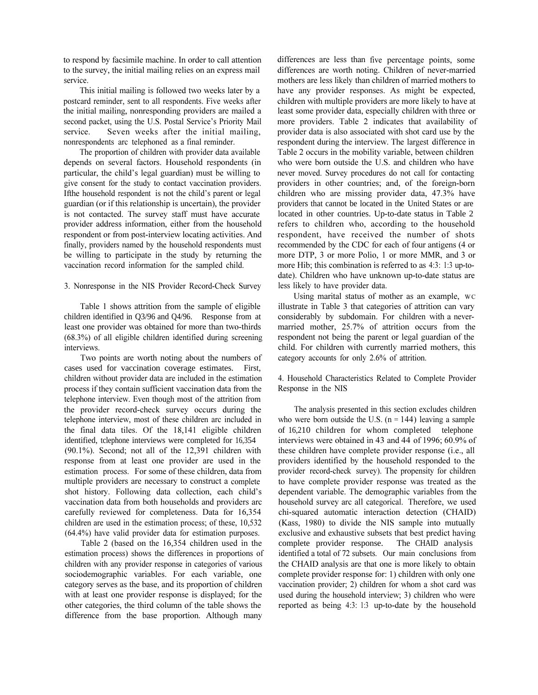to respond by facsimile machine. In order to call attention to the survey, the initial mailing relies on an express mail service.

This initial mailing is followed two weeks later by a postcard reminder, sent to all respondents. Five weeks after the initial mailing, nonresponding providers are mailed a second packet, using the U.S. Postal Service's Priority Mail service. Seven weeks after the initial mailing, nonrespondents arc telephoned as a final reminder.

The proportion of children with provider data available depends on several factors. Household respondents (in particular, the child's legal guardian) must be willing to give consent for the study to contact vaccination providers. If the household respondent is not the child's parent or legal guardian (or if this relationship is uncertain), the provider is not contacted. The survey staff must have accurate provider address information, either from the household respondent or from post-interview locating activities. And finally, providers named by the household respondents must be willing to participate in the study by returning the vaccination record information for the sampled child.

## 3. Nonresponse in the NIS Provider Record-Check Survey

Table 1 shows attrition from the sample of eligible children identified in Q3/96 and Q4/96. Response from at least one provider was obtained for more than two-thirds (68.3%) of all eligible children identified during screening interviews.

Two points are worth noting about the numbers of cases used for vaccination coverage estimates. First, children without provider data are included in the estimation process if they contain sufficient vaccination data from the telephone interview. Even though most of the attrition from the provider record-check survey occurs during the telephone interview, most of these children arc included in the final data tiles. Of the 18,141 eligible children identified, tclephone interviews were completed for 16,354 (90.1%). Second; not all of the 12,391 children with response from at least one provider are used in the estimation process. For some of these children, data from multiple providers are necessary to construct a complete shot history. Following data collection, each child's vaccination data from both households and providers arc carefully reviewed for completeness. Data for 16,354 children are used in the estimation process; of these, 10,532 (64.4%) have valid provider data for estimation purposes.

Table 2 (based on the 16,354 children used in the estimation process) shows the differences in proportions of children with any provider response in categories of various sociodemographic variables. For each variable, one category serves as the base, and its proportion of children with at least one provider response is displayed; for the other categories, the third column of the table shows the difference from the base proportion. Although many differences are less than five percentage points, some differences are worth noting. Children of never-married mothers are less likely than children of married mothers to have any provider responses. As might be expected, children with multiple providers are more likely to have at least some provider data, especially children with three or more providers. Table 2 indicates that availability of provider data is also associated with shot card use by the respondent during the interview. The largest difference in Table 2 occurs in the mobility variable, between children who were born outside the U.S. and children who have never moved. Survey procedures do not call for contacting providers in other countries; and, of the foreign-born children who are missing provider data, 47.3% have providers that cannot be located in the United States or are located in other countries. Up-to-date status in Table 2 refers to children who, according to the household respondent, have received the number of shots recommended by the CDC for each of four antigens (4 or more DTP, 3 or more Polio, 1 or more MMR, and 3 or more Hib; this combination is referred to as 4:3: 1:3 up-todate). Children who have unknown up-to-date status are less likely to have provider data.

Using marital status of mother as an example, WC illustrate in Table 3 that categories of attrition can vary considerably by subdomain. For children with a nevermarried mother, 25.7% of attrition occurs from the respondent not being the parent or legal guardian of the child. For children with currently married mothers, this category accounts for only 2.6% of attrition.

4. Household Characteristics Related to Complete Provider Response in the NIS

The analysis presented in this section excludes children who were born outside the U.S.  $(n = 144)$  leaving a sample of 16,210 children for whom completed telephone interviews were obtained in 43 and 44 of 1996; 60.9% of these children have complete provider response (i.e., all providers identified by the household responded to the provider record-check survey). The propensity for children to have complete provider response was treated as the dependent variable. The demographic variables from the household survey arc all categorical. Therefore, we used chi-squared automatic interaction detection (CHAID) (Kass, 1980) to divide the NIS sample into mutually exclusive and exhaustive subsets that best predict having complete provider response. The CHAID analysis identified a total of 72 subsets. Our main conclusions from the CHAID analysis are that one is more likely to obtain complete provider response for: 1) children with only one vaccination provider; 2) children for whom a shot card was used during the household interview; 3) children who were reported as being 4:3: 1:3 up-to-date by the household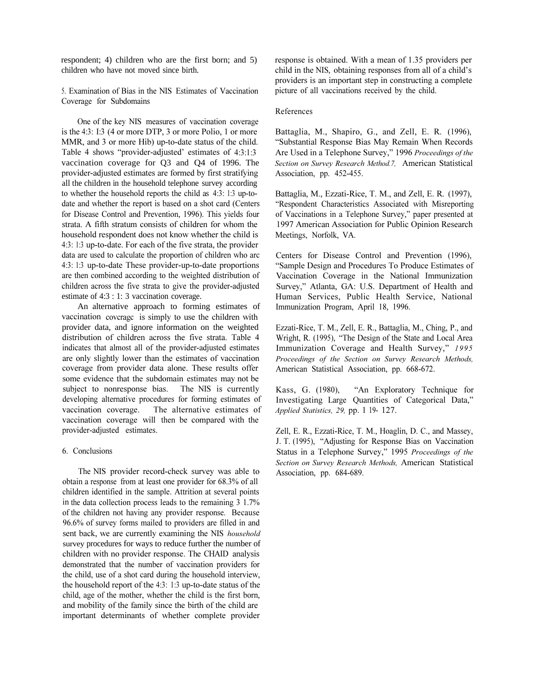respondent; 4) children who are the first born; and 5) children who have not moved since birth.

5. Examination of Bias in the NIS Estimates of Vaccination Coverage for Subdomains

One of the key NIS measures of vaccination coverage is the 4:3: I:3 (4 or more DTP, 3 or more Polio, 1 or more MMR, and 3 or more Hib) up-to-date status of the child. Table 4 shows "provider-adjusted' estimates of 4:3:1:3 vaccination coverage for Q3 and Q4 of 1996. The provider-adjusted estimates are formed by first stratifying all the children in the household telephone survey according to whether the household reports the child as 4:3: 1:3 up-todate and whether the report is based on a shot card (Centers for Disease Control and Prevention, 1996). This yields four strata. A fifth stratum consists of children for whom the household respondent does not know whether the child is 4:3: 1:3 up-to-date. For each of the five strata, the provider data are used to calculate the proportion of children who arc 4:3: 1:3 up-to-date These provider-up-to-date proportions are then combined according to the weighted distribution of children across the five strata to give the provider-adjusted estimate of 4:3 : 1: 3 vaccination coverage.

An alternative approach to forming estimates of vaccination covcragc is simply to use the children with provider data, and ignore information on the weighted distribution of children across the five strata. Table 4 indicates that almost all of the provider-adjusted estimates are only slightly lower than the estimates of vaccination coverage from provider data alone. These results offer some evidence that the subdomain estimates may not be subject to nonresponse bias. The NIS is currently developing alternative procedures for forming estimates of vaccination coverage. The alternative estimates of vaccination coverage will then be compared with the provider-adjusted estimates.

## 6. Conclusions

The NIS provider record-check survey was able to obtain a response from at least one provider for 68.3% of all children identified in the sample. Attrition at several points in the data collection process leads to the remaining 3 1.7% of the children not having any provider response. Because 96.6% of survey forms mailed to providers are filled in and sent back, we are currently examining the NIS *household*  survey procedures for ways to reduce further the number of children with no provider response. The CHAID analysis demonstrated that the number of vaccination providers for the child, use of a shot card during the household interview, the household report of the 4:3: 1:3 up-to-date status of the child, age of the mother, whether the child is the first born, and mobility of the family since the birth of the child are important determinants of whether complete provider

response is obtained. With a mean of 1.35 providers per child in the NIS, obtaining responses from all of a child's providers is an important step in constructing a complete picture of all vaccinations received by the child.

## References

Battaglia, M., Shapiro, G., and Zell, E. R. (1996), Substantial Response Bias May Remain When Records Are Used in a Telephone Survey," 1996 *Proceedings of the Section on Survey Research Method.7,* American Statistical Association, pp. 452-455.

Battaglia, M., Ezzati-Rice, T. M., and Zell, E. R. (1997), Respondent Characteristics Associated with Misreporting of Vaccinations in a Telephone Survey," paper presented at 1997 American Association for Public Opinion Research Meetings, Norfolk, VA.

Centers for Disease Control and Prevention (1996), Sample Design and Procedures To Produce Estimates of Vaccination Coverage in the National Immunization Survey," Atlanta, GA: U.S. Department of Health and Human Services, Public Health Service, National Immunization Program, April 18, 1996.

Ezzati-Rice, T. M., Zell, E. R., Battaglia, M., Ching, P., and Wright, R. (1995), "The Design of the State and Local Area Immunization Coverage and Health Survey," 1995 *Proceedings of the Section on Survey Research Methods,*  American Statistical Association, pp. 668-672.

Kass, G. (1980), "An Exploratory Technique for Investigating Large Quantities of Categorical Data, *Applied Statistics, 29,* pp. 1 19- 127.

Zell, E. R., Ezzati-Rice, T. M., Hoaglin, D. C., and Massey, J. T. (1995), "Adjusting for Response Bias on Vaccination Status in a Telephone Survey," 1995 *Proceedings of the Section on Survey Research Methods,* American Statistical Association, pp. 684-689.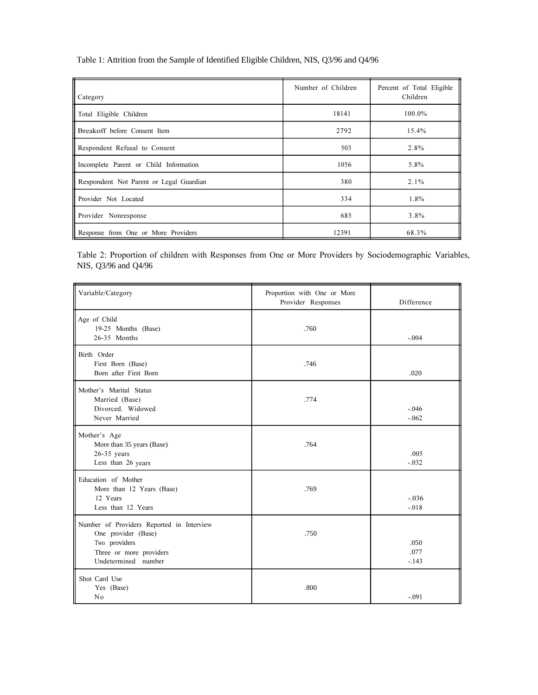Table 1: Attrition from the Sample of Identified Eligible Children, NIS, Q3/96 and Q4/96

| $\ $ Category                           | Number of Children | Percent of Total Eligible<br>Children |
|-----------------------------------------|--------------------|---------------------------------------|
| Total Eligible Children                 | 18141              | 100.0%                                |
| <b>I</b> Breakoff before Consent Item   | 2792               | 15.4%                                 |
| Respondent Refusal to Consent           | 503                | 2.8%                                  |
| Incomplete Parent or Child Information  | 1056               | 5.8%                                  |
| Respondent Not Parent or Legal Guardian | 380                | $2.1\%$                               |
| Provider Not Located                    | 334                | 1.8%                                  |
| Provider Nonresponse                    | 685                | 3.8%                                  |
| Response from One or More Providers     | 12391              | 68.3%                                 |

Table 2: Proportion of children with Responses from One or More Providers by Sociodemographic Variables, NIS, Q3/96 and Q4/96

| Variable/Category                                                                                                                   | Proportion with One or More<br>Provider Responses | Difference              |
|-------------------------------------------------------------------------------------------------------------------------------------|---------------------------------------------------|-------------------------|
| Age of Child<br>19-25 Months (Base)<br>26-35 Months                                                                                 | .760                                              | $-.004$                 |
| Birth Order<br>First Born (Base)<br>Born after First Born                                                                           | .746                                              | .020                    |
| Mother's Marital Status<br>Married (Base)<br>Divorced. Widowed<br>Never Married                                                     | .774                                              | $-.046$<br>$-.062$      |
| Mother's Age<br>More than 35 years (Base)<br>$26-35$ years<br>Less than 26 years                                                    | .764                                              | .005<br>$-.032$         |
| Education of Mother<br>More than 12 Years (Base)<br>12 Years<br>Less than 12 Years                                                  | .769                                              | $-.036$<br>$-.018$      |
| Number of Providers Reported in Interview<br>One provider (Base)<br>Two providers<br>Three or more providers<br>Undetermined number | .750                                              | .050<br>.077<br>$-.143$ |
| Shot Card Use<br>Yes (Base)<br>No                                                                                                   | .800                                              | $-.091$                 |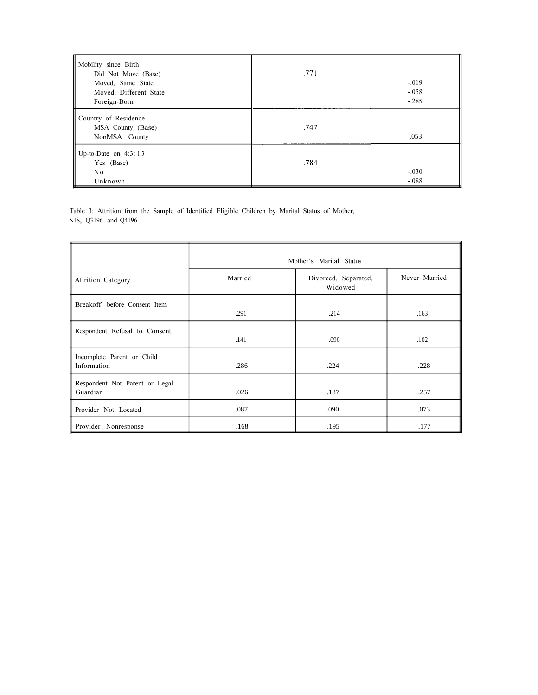| Mobility since Birth<br>Did Not Move (Base)<br>Moved, Same State<br>Moved, Different State<br>Foreign-Born | .771 | $-.019$<br>$-.058$<br>$-.285$ |
|------------------------------------------------------------------------------------------------------------|------|-------------------------------|
| Country of Residence<br>MSA County (Base)<br>NonMSA County                                                 | .747 | .053                          |
| Up-to-Date on $4:3:1:3$<br>Yes (Base)<br>N o<br>Unknown                                                    | .784 | $-.030$<br>$-.088$            |

Table 3: Attrition from the Sample of Identified Eligible Children by Marital Status of Mother, NIS, Q3196 and Q4196

|                                            | Mother's Marital Status |                                 |               |
|--------------------------------------------|-------------------------|---------------------------------|---------------|
| <b>Attrition Category</b>                  | Married                 | Divorced, Separated,<br>Widowed | Never Married |
| Breakoff before Consent Item               | .291                    | .214                            | .163          |
| Respondent Refusal to Consent              | .141                    | .090                            | .102          |
| Incomplete Parent or Child<br>Information  | .286                    | .224                            | .228          |
| Respondent Not Parent or Legal<br>Guardian | .026                    | .187                            | .257          |
| Provider Not Located                       | .087                    | .090                            | .073          |
| Provider Nonresponse                       | .168                    | .195                            | .177          |